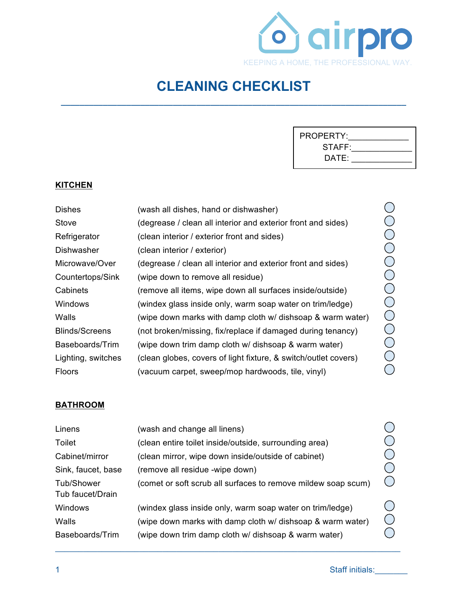

## **CLEANING CHECKLIST**

**\_\_\_\_\_\_\_\_\_\_\_\_\_\_\_\_\_\_\_\_\_\_\_\_\_\_\_\_\_\_\_\_\_\_\_\_\_\_\_\_\_\_\_\_\_\_\_\_\_\_\_\_\_\_\_\_\_\_\_\_\_\_\_\_\_\_\_\_\_\_\_\_\_\_**

#### **KITCHEN**

| <b>Dishes</b>         | (wash all dishes, hand or dishwasher)                           |
|-----------------------|-----------------------------------------------------------------|
| Stove                 | (degrease / clean all interior and exterior front and sides)    |
| Refrigerator          | (clean interior / exterior front and sides)                     |
| Dishwasher            | (clean interior / exterior)                                     |
| Microwave/Over        | (degrease / clean all interior and exterior front and sides)    |
| Countertops/Sink      | (wipe down to remove all residue)                               |
| Cabinets              | (remove all items, wipe down all surfaces inside/outside)       |
| Windows               | (windex glass inside only, warm soap water on trim/ledge)       |
| Walls                 | (wipe down marks with damp cloth w/ dishsoap & warm water)      |
| <b>Blinds/Screens</b> | (not broken/missing, fix/replace if damaged during tenancy)     |
| Baseboards/Trim       | (wipe down trim damp cloth w/ dishsoap & warm water)            |
| Lighting, switches    | (clean globes, covers of light fixture, & switch/outlet covers) |
| <b>Floors</b>         | (vacuum carpet, sweep/mop hardwoods, tile, vinyl)               |

#### **BATHROOM**

| Linens             | (wash and change all linens)                                  |  |
|--------------------|---------------------------------------------------------------|--|
| Toilet             | (clean entire toilet inside/outside, surrounding area)        |  |
| Cabinet/mirror     | (clean mirror, wipe down inside/outside of cabinet)           |  |
| Sink, faucet, base | (remove all residue -wipe down)                               |  |
| Tub/Shower         | (comet or soft scrub all surfaces to remove mildew soap scum) |  |
| Tub faucet/Drain   |                                                               |  |
| Windows            | (windex glass inside only, warm soap water on trim/ledge)     |  |
| Walls              | (wipe down marks with damp cloth w/ dishsoap & warm water)    |  |
| Baseboards/Trim    | (wipe down trim damp cloth w/ dishsoap & warm water)          |  |
|                    |                                                               |  |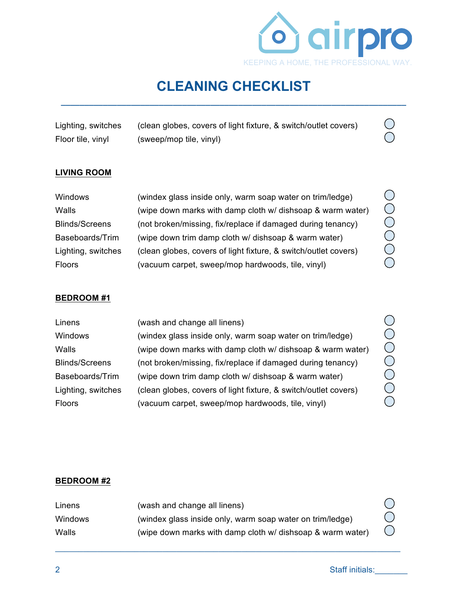

### **CLEANING CHECKLIST \_\_\_\_\_\_\_\_\_\_\_\_\_\_\_\_\_\_\_\_\_\_\_\_\_\_\_\_\_\_\_\_\_\_\_\_\_\_\_\_\_\_\_\_\_\_\_\_\_\_\_\_\_\_\_\_\_\_\_\_\_\_\_\_\_\_\_\_\_\_\_\_\_\_**

| Lighting, switches | (clean globes, covers of light fixture, & switch/outlet covers) |
|--------------------|-----------------------------------------------------------------|
| Floor tile, vinyl  | (sweep/mop tile, vinyl)                                         |

#### **LIVING ROOM**

| Windows               | (windex glass inside only, warm soap water on trim/ledge)       |
|-----------------------|-----------------------------------------------------------------|
| Walls                 | (wipe down marks with damp cloth w/ dishsoap & warm water)      |
| <b>Blinds/Screens</b> | (not broken/missing, fix/replace if damaged during tenancy)     |
| Baseboards/Trim       | (wipe down trim damp cloth w/ dishsoap & warm water)            |
| Lighting, switches    | (clean globes, covers of light fixture, & switch/outlet covers) |
| <b>Floors</b>         | (vacuum carpet, sweep/mop hardwoods, tile, vinyl)               |

#### **BEDROOM #1**

| Linens                | (wash and change all linens)                                    |
|-----------------------|-----------------------------------------------------------------|
| Windows               | (windex glass inside only, warm soap water on trim/ledge)       |
| Walls                 | (wipe down marks with damp cloth w/ dishsoap & warm water)      |
| <b>Blinds/Screens</b> | (not broken/missing, fix/replace if damaged during tenancy)     |
| Baseboards/Trim       | (wipe down trim damp cloth w/ dishsoap & warm water)            |
| Lighting, switches    | (clean globes, covers of light fixture, & switch/outlet covers) |
| Floors                | (vacuum carpet, sweep/mop hardwoods, tile, vinyl)               |
|                       |                                                                 |

OOOOOO

 $\bigcirc$ 

OOOOO

#### **BEDROOM #2**

| Linens         | (wash and change all linens)                               |            |
|----------------|------------------------------------------------------------|------------|
| <b>Windows</b> | (windex glass inside only, warm soap water on trim/ledge)  |            |
| Walls          | (wipe down marks with damp cloth w/ dishsoap & warm water) | $\bigcirc$ |

 $\mathcal{L}_\mathcal{L} = \{ \mathcal{L}_\mathcal{L} = \{ \mathcal{L}_\mathcal{L} = \{ \mathcal{L}_\mathcal{L} = \{ \mathcal{L}_\mathcal{L} = \{ \mathcal{L}_\mathcal{L} = \{ \mathcal{L}_\mathcal{L} = \{ \mathcal{L}_\mathcal{L} = \{ \mathcal{L}_\mathcal{L} = \{ \mathcal{L}_\mathcal{L} = \{ \mathcal{L}_\mathcal{L} = \{ \mathcal{L}_\mathcal{L} = \{ \mathcal{L}_\mathcal{L} = \{ \mathcal{L}_\mathcal{L} = \{ \mathcal{L}_\mathcal{$